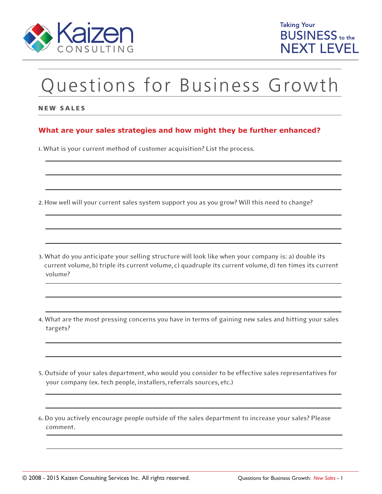

# Questions for Business Growth

### NEW SALES

## **What are your sales strategies and how might they be further enhanced?**

1. What is your current method of customer acquisition? List the process.

- 2. How well will your current sales system support you as you grow? Will this need to change?
- 3. What do you anticipate your selling structure will look like when your company is: a) double its current volume, b) triple its current volume, c) quadruple its current volume, d) ten times its current volume?
- 4. What are the most pressing concerns you have in terms of gaining new sales and hitting your sales targets?
- 5. Outside of your sales department, who would you consider to be effective sales representatives for your company (ex. tech people, installers, referrals sources, etc.)
- 6. Do you actively encourage people outside of the sales department to increase your sales? Please comment.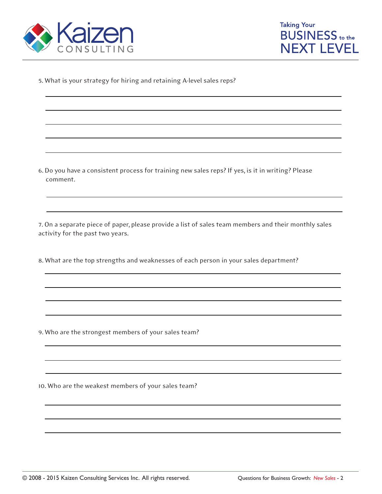



5. What is your strategy for hiring and retaining A-level sales reps?

6. Do you have a consistent process for training new sales reps? If yes, is it in writing? Please comment.

7. On a separate piece of paper, please provide a list of sales team members and their monthly sales activity for the past two years.

8. What are the top strengths and weaknesses of each person in your sales department?

9. Who are the strongest members of your sales team?

10. Who are the weakest members of your sales team?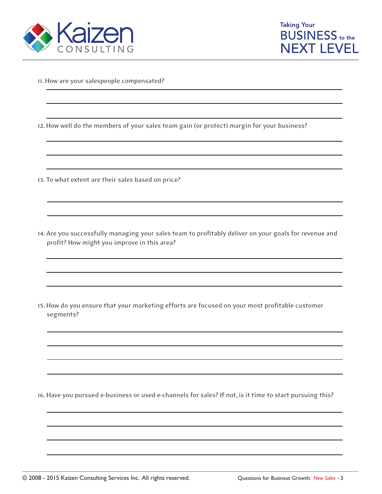



- 11. How are your salespeople compensated?
- 12. How well do the members of your sales team gain (or protect) margin for your business?
- 13. To what extent are their sales based on price?
- 14. Are you successfully managing your sales team to profitably deliver on your goals for revenue and profit? How might you improve in this area?

15. How do you ensure that your marketing efforts are focused on your most profitable customer segments?

16. Have you pursued e-business or used e-channels for sales? If not, is it time to start pursuing this?